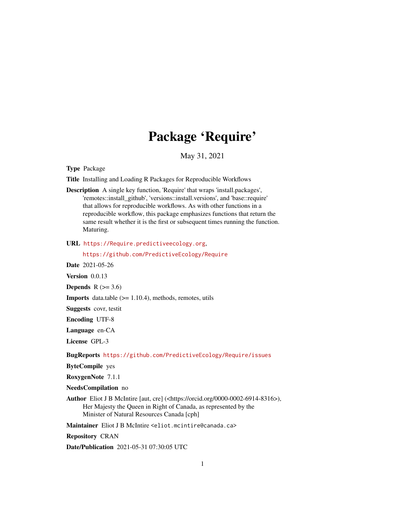## Package 'Require'

May 31, 2021

<span id="page-0-0"></span>Type Package

Title Installing and Loading R Packages for Reproducible Workflows

Description A single key function, 'Require' that wraps 'install.packages', 'remotes::install\_github', 'versions::install.versions', and 'base::require' that allows for reproducible workflows. As with other functions in a reproducible workflow, this package emphasizes functions that return the same result whether it is the first or subsequent times running the function. Maturing.

URL <https://Require.predictiveecology.org>,

<https://github.com/PredictiveEcology/Require>

Date 2021-05-26

Version 0.0.13

Depends  $R$  ( $>= 3.6$ )

**Imports** data.table  $(>= 1.10.4)$ , methods, remotes, utils

Suggests covr, testit

Encoding UTF-8

Language en-CA

License GPL-3

BugReports <https://github.com/PredictiveEcology/Require/issues>

ByteCompile yes

RoxygenNote 7.1.1

NeedsCompilation no

Author Eliot J B McIntire [aut, cre] (<https://orcid.org/0000-0002-6914-8316>), Her Majesty the Queen in Right of Canada, as represented by the Minister of Natural Resources Canada [cph]

Maintainer Eliot J B McIntire <eliot.mcintire@canada.ca>

Repository CRAN

Date/Publication 2021-05-31 07:30:05 UTC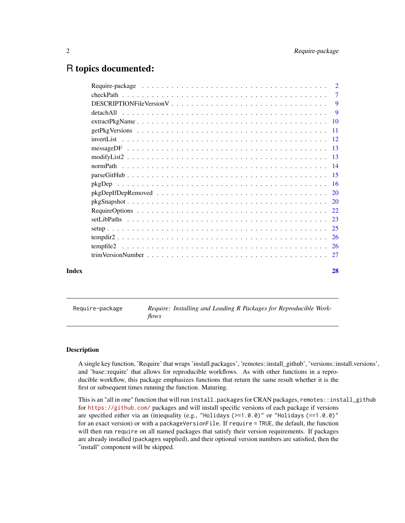## <span id="page-1-0"></span>R topics documented:

| detachAll |    |
|-----------|----|
|           |    |
|           |    |
|           |    |
|           |    |
|           |    |
|           |    |
|           |    |
|           |    |
|           |    |
|           |    |
|           |    |
|           |    |
|           |    |
|           |    |
|           |    |
|           |    |
| Index     | 28 |

Require-package *Require: Installing and Loading R Packages for Reproducible Workflows*

#### Description

A single key function, 'Require' that wraps 'install.packages', 'remotes::install\_github', 'versions::install.versions', and 'base::require' that allows for reproducible workflows. As with other functions in a reproducible workflow, this package emphasizes functions that return the same result whether it is the first or subsequent times running the function. Maturing.

This is an "all in one" function that will run install.packages for CRAN packages, remotes::install\_github for <https://github.com/> packages and will install specific versions of each package if versions are specified either via an (in)equality (e.g., "Holidays (>=1.0.0)" or "Holidays (==1.0.0)" for an exact version) or with a packageVersionFile. If require = TRUE, the default, the function will then run require on all named packages that satisfy their version requirements. If packages are already installed (packages supplied), and their optional version numbers are satisfied, then the "install" component will be skipped.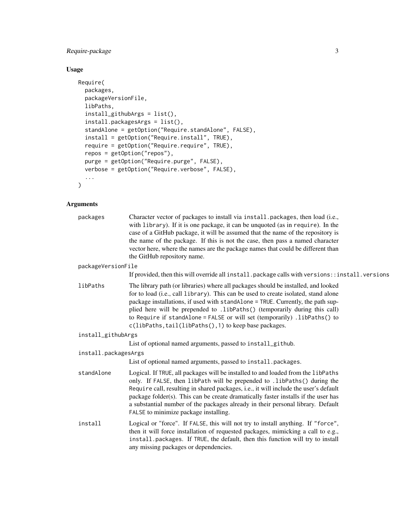## Require-package 3

## Usage

```
Require(
 packages,
 packageVersionFile,
 libPaths,
  install_githubArgs = list(),
  install.packagesArgs = list(),
  standAlone = getOption("Require.standAlone", FALSE),
  install = getOption("Require.install", TRUE),
 require = getOption("Require.require", TRUE),
 repos = getOption("repos"),
 purge = getOption("Require.purge", FALSE),
 verbose = getOption("Require.verbose", FALSE),
  ...
```
## Arguments

)

| packages             | Character vector of packages to install via install.packages, then load (i.e.,<br>with library). If it is one package, it can be unquoted (as in require). In the<br>case of a GitHub package, it will be assumed that the name of the repository is<br>the name of the package. If this is not the case, then pass a named character<br>vector here, where the names are the package names that could be different than<br>the GitHub repository name.                          |
|----------------------|----------------------------------------------------------------------------------------------------------------------------------------------------------------------------------------------------------------------------------------------------------------------------------------------------------------------------------------------------------------------------------------------------------------------------------------------------------------------------------|
| packageVersionFile   |                                                                                                                                                                                                                                                                                                                                                                                                                                                                                  |
|                      | If provided, then this will override all install. package calls with versions::install. versions                                                                                                                                                                                                                                                                                                                                                                                 |
| libPaths             | The library path (or libraries) where all packages should be installed, and looked<br>for to load (i.e., call library). This can be used to create isolated, stand alone<br>package installations, if used with standAlone = TRUE. Currently, the path sup-<br>plied here will be prepended to .1ibPaths() (temporarily during this call)<br>to Require if standAlone = FALSE or will set (temporarily) .libPaths() to<br>c(libPaths, tail(libPaths(), 1) to keep base packages. |
| install_githubArgs   |                                                                                                                                                                                                                                                                                                                                                                                                                                                                                  |
|                      | List of optional named arguments, passed to install_github.                                                                                                                                                                                                                                                                                                                                                                                                                      |
| install.packagesArgs |                                                                                                                                                                                                                                                                                                                                                                                                                                                                                  |
|                      | List of optional named arguments, passed to install.packages.                                                                                                                                                                                                                                                                                                                                                                                                                    |
| standAlone           | Logical. If TRUE, all packages will be installed to and loaded from the libPaths<br>only. If FALSE, then libPath will be prepended to .libPaths() during the<br>Require call, resulting in shared packages, i.e., it will include the user's default<br>package folder(s). This can be create dramatically faster installs if the user has<br>a substantial number of the packages already in their personal library. Default<br>FALSE to minimize package installing.           |
| install              | Logical or "force". If FALSE, this will not try to install anything. If "force",<br>then it will force installation of requested packages, mimicking a call to e.g.,<br>install.packages. If TRUE, the default, then this function will try to install<br>any missing packages or dependencies.                                                                                                                                                                                  |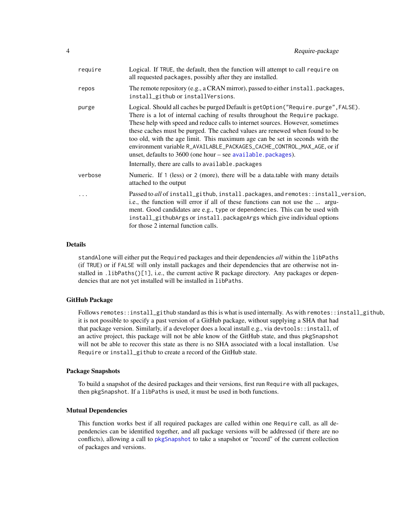<span id="page-3-0"></span>

| require | Logical. If TRUE, the default, then the function will attempt to call require on<br>all requested packages, possibly after they are installed.                                                                                                                                                                                                                                                                                                                                                                                                                                                                           |
|---------|--------------------------------------------------------------------------------------------------------------------------------------------------------------------------------------------------------------------------------------------------------------------------------------------------------------------------------------------------------------------------------------------------------------------------------------------------------------------------------------------------------------------------------------------------------------------------------------------------------------------------|
| repos   | The remote repository (e.g., a CRAN mirror), passed to either install.packages,<br>install_github or installVersions.                                                                                                                                                                                                                                                                                                                                                                                                                                                                                                    |
| purge   | Logical. Should all caches be purged Default is getOption ("Require.purge", FALSE).<br>There is a lot of internal caching of results throughout the Require package.<br>These help with speed and reduce calls to internet sources. However, sometimes<br>these caches must be purged. The cached values are renewed when found to be<br>too old, with the age limit. This maximum age can be set in seconds with the<br>environment variable R_AVAILABLE_PACKAGES_CACHE_CONTROL_MAX_AGE, or if<br>unset, defaults to $3600$ (one hour – see available. packages).<br>Internally, there are calls to available. packages |
| verbose | Numeric. If 1 (less) or 2 (more), there will be a data.table with many details<br>attached to the output                                                                                                                                                                                                                                                                                                                                                                                                                                                                                                                 |
| .       | Passed to all of install_github, install.packages, and remotes::install_version,<br>i.e., the function will error if all of these functions can not use the  argu-<br>ment. Good candidates are e.g., type or dependencies. This can be used with<br>install_githubArgs or install.packageArgs which give individual options<br>for those 2 internal function calls.                                                                                                                                                                                                                                                     |

## Details

standAlone will either put the Required packages and their dependencies *all* within the libPaths (if TRUE) or if FALSE will only install packages and their dependencies that are otherwise not installed in .1ibPaths( $[1]$ , i.e., the current active R package directory. Any packages or dependencies that are not yet installed will be installed in libPaths.

#### GitHub Package

Follows remotes::install\_github standard as this is what is used internally. As with remotes::install\_github, it is not possible to specify a past version of a GitHub package, without supplying a SHA that had that package version. Similarly, if a developer does a local install e.g., via devtools::install, of an active project, this package will not be able know of the GitHub state, and thus pkgSnapshot will not be able to recover this state as there is no SHA associated with a local installation. Use Require or install\_github to create a record of the GitHub state.

#### Package Snapshots

To build a snapshot of the desired packages and their versions, first run Require with all packages, then pkgSnapshot. If a libPaths is used, it must be used in both functions.

#### Mutual Dependencies

This function works best if all required packages are called within one Require call, as all dependencies can be identified together, and all package versions will be addressed (if there are no conflicts), allowing a call to [pkgSnapshot](#page-19-1) to take a snapshot or "record" of the current collection of packages and versions.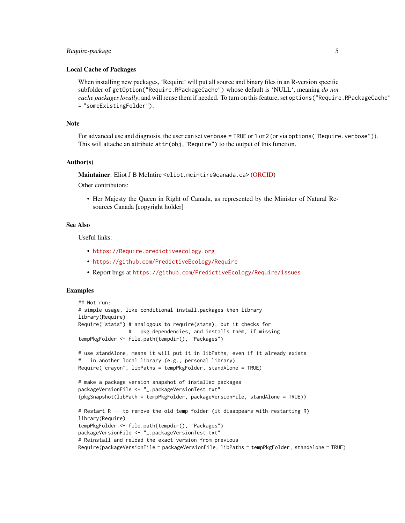## Require-package 5

#### Local Cache of Packages

When installing new packages, 'Require' will put all source and binary files in an R-version specific subfolder of getOption("Require.RPackageCache") whose default is 'NULL', meaning *do not* cache packages locally, and will reuse them if needed. To turn on this feature, set options ("Require.RPackageCache" = "someExistingFolder").

#### Note

For advanced use and diagnosis, the user can set verbose = TRUE or 1 or 2 (or via options ("Require.verbose")). This will attache an attribute attr(obj,"Require") to the output of this function.

#### Author(s)

Maintainer: Eliot J B McIntire <eliot.mcintire@canada.ca> [\(ORCID\)](https://orcid.org/0000-0002-6914-8316)

Other contributors:

• Her Majesty the Queen in Right of Canada, as represented by the Minister of Natural Resources Canada [copyright holder]

#### See Also

Useful links:

- <https://Require.predictiveecology.org>
- <https://github.com/PredictiveEcology/Require>
- Report bugs at <https://github.com/PredictiveEcology/Require/issues>

```
## Not run:
# simple usage, like conditional install.packages then library
library(Require)
Require("stats") # analogous to require(stats), but it checks for
                 # pkg dependencies, and installs them, if missing
tempPkgFolder <- file.path(tempdir(), "Packages")
# use standAlone, means it will put it in libPaths, even if it already exists
   in another local library (e.g., personal library)
Require("crayon", libPaths = tempPkgFolder, standAlone = TRUE)
# make a package version snapshot of installed packages
packageVersionFile <- "_.packageVersionTest.txt"
(pkgSnapshot(libPath = tempPkgFolder, packageVersionFile, standAlone = TRUE))
# Restart R -- to remove the old temp folder (it disappears with restarting R)
library(Require)
tempPkgFolder <- file.path(tempdir(), "Packages")
packageVersionFile <- "_.packageVersionTest.txt"
# Reinstall and reload the exact version from previous
Require(packageVersionFile = packageVersionFile, libPaths = tempPkgFolder, standAlone = TRUE)
```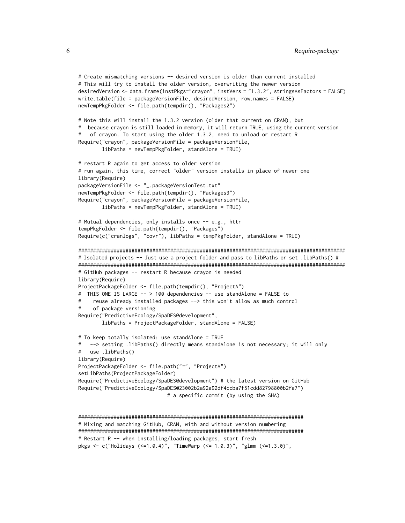```
# Create mismatching versions -- desired version is older than current installed
# This will try to install the older version, overwriting the newer version
desiredVersion <- data.frame(instPkgs="crayon", instVers = "1.3.2", stringsAsFactors = FALSE)
write.table(file = packageVersionFile, desiredVersion, row.names = FALSE)
newTempPkgFolder <- file.path(tempdir(), "Packages2")
# Note this will install the 1.3.2 version (older that current on CRAN), but
# because crayon is still loaded in memory, it will return TRUE, using the current version
# of crayon. To start using the older 1.3.2, need to unload or restart R
Require("crayon", packageVersionFile = packageVersionFile,
        libPaths = newTempPkgFolder, standAlone = TRUE)
# restart R again to get access to older version
# run again, this time, correct "older" version installs in place of newer one
library(Require)
packageVersionFile <- "_.packageVersionTest.txt"
newTempPkgFolder <- file.path(tempdir(), "Packages3")
Require("crayon", packageVersionFile = packageVersionFile,
       libPaths = newTempPkgFolder, standAlone = TRUE)
# Mutual dependencies, only installs once -- e.g., httr
tempPkgFolder <- file.path(tempdir(), "Packages")
Require(c("cranlogs", "covr"), libPaths = tempPkgFolder, standAlone = TRUE)
##########################################################################################
# Isolated projects -- Just use a project folder and pass to libPaths or set .libPaths() #
##########################################################################################
# GitHub packages -- restart R because crayon is needed
library(Require)
ProjectPackageFolder <- file.path(tempdir(), "ProjectA")
# THIS ONE IS LARGE -- > 100 dependencies -- use standAlone = FALSE to
# reuse already installed packages --> this won't allow as much control
     of package versioning
Require("PredictiveEcology/SpaDES@development",
       libPaths = ProjectPackageFolder, standAlone = FALSE)
# To keep totally isolated: use standAlone = TRUE
# --> setting .libPaths() directly means standAlone is not necessary; it will only
# use .libPaths()
library(Require)
ProjectPackageFolder <- file.path("~", "ProjectA")
setLibPaths(ProjectPackageFolder)
Require("PredictiveEcology/SpaDES@development") # the latest version on GitHub
Require("PredictiveEcology/SpaDES@23002b2a92a92df4ccba7f51cdd82798800b2fa7")
                              # a specific commit (by using the SHA)
```

```
############################################################################
# Mixing and matching GitHub, CRAN, with and without version numbering
############################################################################
# Restart R -- when installing/loading packages, start fresh
pkgs <- c("Holidays (<=1.0.4)", "TimeWarp (<= 1.0.3)", "glmm (<=1.3.0)",
```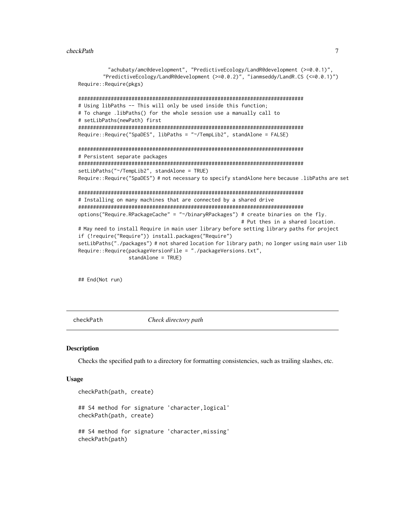#### <span id="page-6-0"></span>checkPath 7

```
"achubaty/amc@development", "PredictiveEcology/LandR@development (>=0.0.1)",
        "PredictiveEcology/LandR@development (>=0.0.2)", "ianmseddy/LandR.CS (<=0.0.1)")
Require::Require(pkgs)
############################################################################
# Using libPaths -- This will only be used inside this function;
# To change .libPaths() for the whole session use a manually call to
# setLibPaths(newPath) first
############################################################################
Require::Require("SpaDES", libPaths = "~/TempLib2", standAlone = FALSE)
############################################################################
# Persistent separate packages
############################################################################
setLibPaths("~/TempLib2", standAlone = TRUE)
Require::Require("SpaDES") # not necessary to specify standAlone here because .libPaths are set
############################################################################
# Installing on many machines that are connected by a shared drive
############################################################################
options("Require.RPackageCache" = "~/binaryRPackages") # create binaries on the fly.
                                                       # Put thes in a shared location.
# May need to install Require in main user library before setting library paths for project
if (!require("Require")) install.packages("Require")
setLibPaths("./packages") # not shared location for library path; no longer using main user lib
Require::Require(packageVersionFile = "./packageVersions.txt",
                 standAlone = TRUE)
```
## End(Not run)

checkPath *Check directory path*

#### **Description**

Checks the specified path to a directory for formatting consistencies, such as trailing slashes, etc.

#### Usage

```
checkPath(path, create)
## S4 method for signature 'character,logical'
checkPath(path, create)
## S4 method for signature 'character,missing'
checkPath(path)
```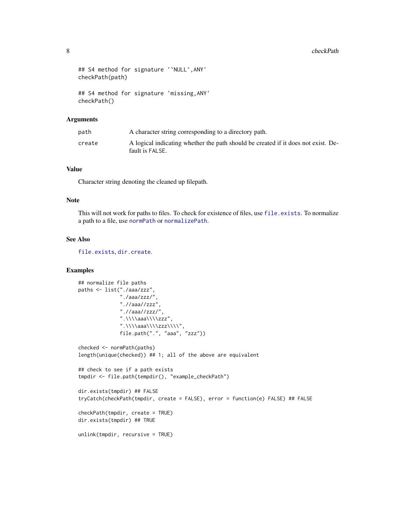```
## S4 method for signature '`NULL`,ANY'
checkPath(path)
## S4 method for signature 'missing,ANY'
checkPath()
```
#### Arguments

| path   | A character string corresponding to a directory path.                                                |
|--------|------------------------------------------------------------------------------------------------------|
| create | A logical indicating whether the path should be created if it does not exist. De-<br>fault is FALSE. |

#### Value

Character string denoting the cleaned up filepath.

## Note

This will not work for paths to files. To check for existence of files, use [file.exists](#page-0-0). To normalize a path to a file, use [normPath](#page-13-1) or [normalizePath](#page-0-0).

## See Also

[file.exists](#page-0-0), [dir.create](#page-0-0).

```
## normalize file paths
paths <- list("./aaa/zzz",
              "./aaa/zzz/",
              ".//aaa//zzz",
              ".//aaa//zzz/",
              ".\\\\aaa\\\\zzz",
              ".\\\\\\\aaa\\\\\\zz\\\\\\"
              file.path(".", "aaa", "zzz"))
checked <- normPath(paths)
length(unique(checked)) ## 1; all of the above are equivalent
## check to see if a path exists
tmpdir <- file.path(tempdir(), "example_checkPath")
dir.exists(tmpdir) ## FALSE
tryCatch(checkPath(tmpdir, create = FALSE), error = function(e) FALSE) ## FALSE
checkPath(tmpdir, create = TRUE)
dir.exists(tmpdir) ## TRUE
unlink(tmpdir, recursive = TRUE)
```
<span id="page-7-0"></span>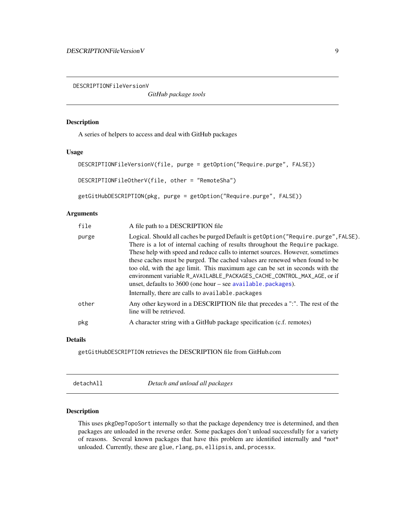<span id="page-8-0"></span>DESCRIPTIONFileVersionV

*GitHub package tools*

#### Description

A series of helpers to access and deal with GitHub packages

## Usage

```
DESCRIPTIONFileVersionV(file, purge = getOption("Require.purge", FALSE))
DESCRIPTIONFileOtherV(file, other = "RemoteSha")
```
getGitHubDESCRIPTION(pkg, purge = getOption("Require.purge", FALSE))

## Arguments

| file  | A file path to a DESCRIPTION file                                                                                                                                                                                                                                                                                                                                                                                                                                                                                                                               |
|-------|-----------------------------------------------------------------------------------------------------------------------------------------------------------------------------------------------------------------------------------------------------------------------------------------------------------------------------------------------------------------------------------------------------------------------------------------------------------------------------------------------------------------------------------------------------------------|
| purge | Logical. Should all caches be purged Default is getOption ("Require.purge", FALSE).<br>There is a lot of internal caching of results throughout the Require package.<br>These help with speed and reduce calls to internet sources. However, sometimes<br>these caches must be purged. The cached values are renewed when found to be<br>too old, with the age limit. This maximum age can be set in seconds with the<br>environment variable R_AVAILABLE_PACKAGES_CACHE_CONTROL_MAX_AGE, or if<br>unset, defaults to 3600 (one hour – see available.packages). |
|       | Internally, there are calls to available. packages                                                                                                                                                                                                                                                                                                                                                                                                                                                                                                              |
| other | Any other keyword in a DESCRIPTION file that precedes a ":". The rest of the<br>line will be retrieved.                                                                                                                                                                                                                                                                                                                                                                                                                                                         |
| pkg   | A character string with a GitHub package specification (c.f. remotes)                                                                                                                                                                                                                                                                                                                                                                                                                                                                                           |
|       |                                                                                                                                                                                                                                                                                                                                                                                                                                                                                                                                                                 |

## Details

getGitHubDESCRIPTION retrieves the DESCRIPTION file from GitHub.com

| detachAll | Detach and unload all packages |  |
|-----------|--------------------------------|--|
|-----------|--------------------------------|--|

## Description

This uses pkgDepTopoSort internally so that the package dependency tree is determined, and then packages are unloaded in the reverse order. Some packages don't unload successfully for a variety of reasons. Several known packages that have this problem are identified internally and \*not\* unloaded. Currently, these are glue, rlang, ps, ellipsis, and, processx.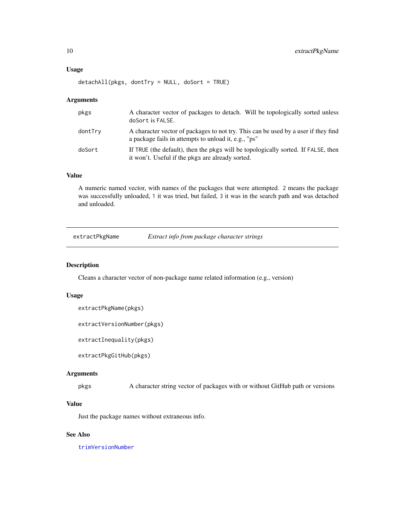#### <span id="page-9-0"></span>Usage

```
detachAll(pkgs, dontTry = NULL, doSort = TRUE)
```
## Arguments

| pkgs    | A character vector of packages to detach. Will be topologically sorted unless<br>doSort is FALSE.                                          |
|---------|--------------------------------------------------------------------------------------------------------------------------------------------|
| dontTry | A character vector of packages to not try. This can be used by a user if they find<br>a package fails in attempts to unload it, e.g., "ps" |
| doSort  | If TRUE (the default), then the pkgs will be topologically sorted. If FALSE, then<br>it won't. Useful if the pkgs are already sorted.      |

#### Value

A numeric named vector, with names of the packages that were attempted. 2 means the package was successfully unloaded, 1 it was tried, but failed, 3 it was in the search path and was detached and unloaded.

<span id="page-9-1"></span>extractPkgName *Extract info from package character strings*

## Description

Cleans a character vector of non-package name related information (e.g., version)

#### Usage

```
extractPkgName(pkgs)
```

```
extractVersionNumber(pkgs)
```
extractInequality(pkgs)

extractPkgGitHub(pkgs)

#### Arguments

pkgs A character string vector of packages with or without GitHub path or versions

## Value

Just the package names without extraneous info.

## See Also

[trimVersionNumber](#page-26-1)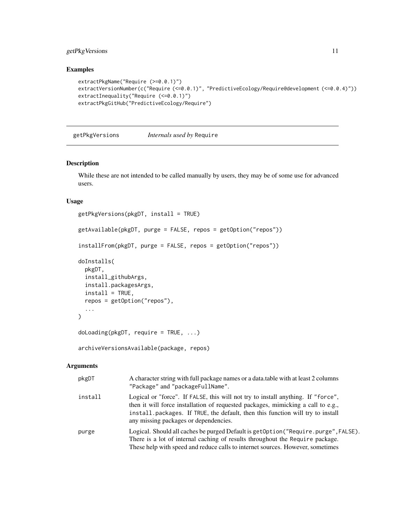## <span id="page-10-0"></span>getPkgVersions 11

## Examples

```
extractPkgName("Require (>=0.0.1)")
extractVersionNumber(c("Require (<=0.0.1)", "PredictiveEcology/Require@development (<=0.0.4)"))
extractInequality("Require (<=0.0.1)")
extractPkgGitHub("PredictiveEcology/Require")
```
getPkgVersions *Internals used by* Require

## Description

While these are not intended to be called manually by users, they may be of some use for advanced users.

## Usage

```
getPkgVersions(pkgDT, install = TRUE)
getAvailable(pkgDT, purge = FALSE, repos = getOption("repos"))
installFrom(pkgDT, purge = FALSE, repos = getOption("repos"))
doInstalls(
 pkgDT,
  install_githubArgs,
  install.packagesArgs,
  install = TRUE,repos = getOption("repos"),
  ...
\mathcal{L}doLoading(pkgDT, require = TRUE, \ldots)
archiveVersionsAvailable(package, repos)
```
## Arguments

| pkgDT   | A character string with full package names or a data.table with at least 2 columns<br>"Package" and "packageFullName".                                                                                                                                                                          |
|---------|-------------------------------------------------------------------------------------------------------------------------------------------------------------------------------------------------------------------------------------------------------------------------------------------------|
| install | Logical or "force". If FALSE, this will not try to install anything. If "force",<br>then it will force installation of requested packages, mimicking a call to e.g.,<br>install.packages. If TRUE, the default, then this function will try to install<br>any missing packages or dependencies. |
| purge   | Logical. Should all caches be purged Default is getOption ("Require.purge", FALSE).<br>There is a lot of internal caching of results throughout the Require package.<br>These help with speed and reduce calls to internet sources. However, sometimes                                          |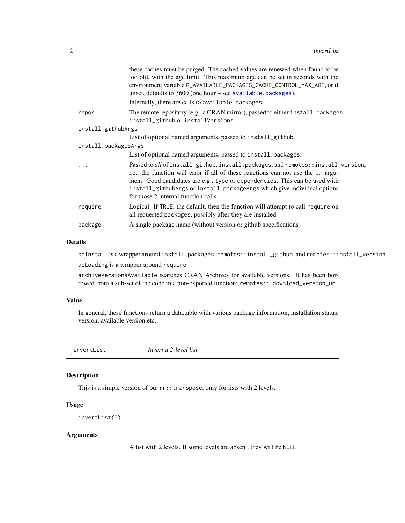<span id="page-11-0"></span>

|                      | these caches must be purged. The cached values are renewed when found to be<br>too old, with the age limit. This maximum age can be set in seconds with the<br>environment variable R_AVAILABLE_PACKAGES_CACHE_CONTROL_MAX_AGE, or if<br>unset, defaults to $3600$ (one hour – see available. packages).                                                             |
|----------------------|----------------------------------------------------------------------------------------------------------------------------------------------------------------------------------------------------------------------------------------------------------------------------------------------------------------------------------------------------------------------|
|                      | Internally, there are calls to available.packages                                                                                                                                                                                                                                                                                                                    |
| repos                | The remote repository (e.g., a CRAN mirror), passed to either install.packages,<br>install_github or installVersions.                                                                                                                                                                                                                                                |
| install_githubArgs   |                                                                                                                                                                                                                                                                                                                                                                      |
|                      | List of optional named arguments, passed to install_github.                                                                                                                                                                                                                                                                                                          |
| install.packagesArgs |                                                                                                                                                                                                                                                                                                                                                                      |
|                      | List of optional named arguments, passed to install.packages.                                                                                                                                                                                                                                                                                                        |
| .                    | Passed to all of install_github, install.packages, and remotes::install_version,<br>i.e., the function will error if all of these functions can not use the  argu-<br>ment. Good candidates are e.g., type or dependencies. This can be used with<br>install_githubArgs or install.packageArgs which give individual options<br>for those 2 internal function calls. |
| require              | Logical. If TRUE, the default, then the function will attempt to call require on<br>all requested packages, possibly after they are installed.                                                                                                                                                                                                                       |
| package              | A single package name (without version or github specifications)                                                                                                                                                                                                                                                                                                     |
|                      |                                                                                                                                                                                                                                                                                                                                                                      |

#### Details

doInstall is a wrapper around install.packages, remotes::install\_github, and remotes::install\_version. doLoading is a wrapper around require.

archiveVersionsAvailable searches CRAN Archives for available versions. It has been borrowed from a sub-set of the code in a non-exported function: remotes:::download\_version\_url

#### Value

In general, these functions return a data.table with various package information, installation status, version, available version etc.

invertList *Invert a 2-level list*

#### Description

This is a simple version of purrr::transpose, only for lists with 2 levels.

## Usage

```
invertList(l)
```
## Arguments

l A list with 2 levels. If some levels are absent, they will be NULL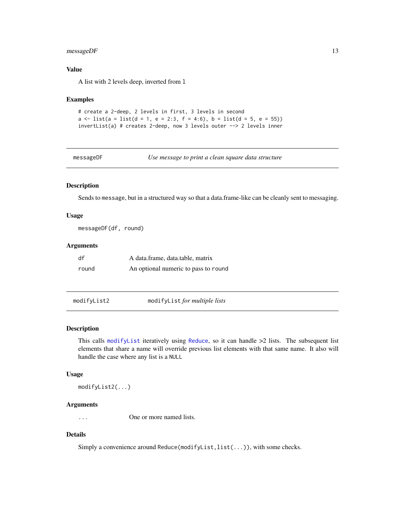## <span id="page-12-0"></span>messageDF 13

#### Value

A list with 2 levels deep, inverted from l

#### Examples

```
# create a 2-deep, 2 levels in first, 3 levels in second
a \leftarrow list(a = list(d = 1, e = 2:3, f = 4:6), b = list(d = 5, e = 55))
invertList(a) # creates 2-deep, now 3 levels outer --> 2 levels inner
```
messageDF *Use message to print a clean square data structure*

#### Description

Sends to message, but in a structured way so that a data.frame-like can be cleanly sent to messaging.

#### Usage

messageDF(df, round)

#### Arguments

| df    | A data.frame, data.table, matrix     |
|-------|--------------------------------------|
| round | An optional numeric to pass to round |

modifyList2 modifyList *for multiple lists*

#### Description

This calls [modifyList](#page-0-0) iteratively using [Reduce](#page-0-0), so it can handle >2 lists. The subsequent list elements that share a name will override previous list elements with that same name. It also will handle the case where any list is a NULL

#### Usage

modifyList2(...)

#### Arguments

... One or more named lists.

## Details

Simply a convenience around Reduce(modifyList,list(...)), with some checks.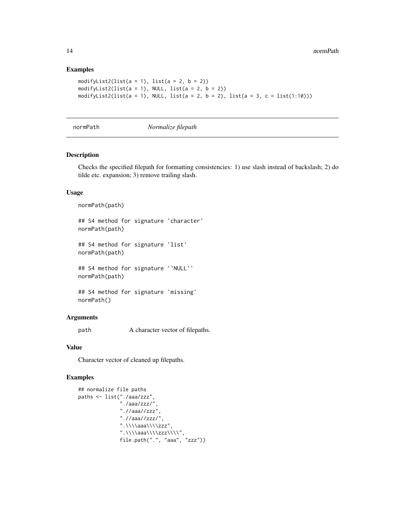## Examples

```
modifyList2(list(a = 1), list(a = 2, b = 2))
modifyList2(list(a = 1), NULL, list(a = 2, b = 2))
modifyList2(list(a = 1), NULL, list(a = 2, b = 2), list(a = 3, c = list(1:10)))
```
<span id="page-13-1"></span>normPath *Normalize filepath*

#### Description

Checks the specified filepath for formatting consistencies: 1) use slash instead of backslash; 2) do tilde etc. expansion; 3) remove trailing slash.

#### Usage

```
normPath(path)
```
## S4 method for signature 'character' normPath(path)

## S4 method for signature 'list' normPath(path)

## S4 method for signature '`NULL`' normPath(path)

## S4 method for signature 'missing' normPath()

## Arguments

path A character vector of filepaths.

## Value

Character vector of cleaned up filepaths.

```
## normalize file paths
paths <- list("./aaa/zzz",
              "./aaa/zzz/",
              ".//aaa//zzz",
              ".//aaa//zzz/",
              ".\\\\aaa\\\\zzz",
              ".\\\\aaa\\\\zzz\\\\",
              file.path(".", "aaa", "zzz"))
```
<span id="page-13-0"></span>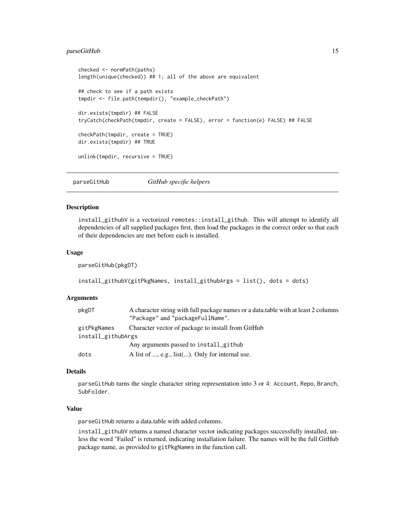## <span id="page-14-0"></span>parseGitHub 15

```
checked <- normPath(paths)
length(unique(checked)) ## 1; all of the above are equivalent
## check to see if a path exists
tmpdir <- file.path(tempdir(), "example_checkPath")
dir.exists(tmpdir) ## FALSE
tryCatch(checkPath(tmpdir, create = FALSE), error = function(e) FALSE) ## FALSE
checkPath(tmpdir, create = TRUE)
dir.exists(tmpdir) ## TRUE
unlink(tmpdir, recursive = TRUE)
```
parseGitHub *GitHub specific helpers*

#### Description

install\_githubV is a vectorized remotes::install\_github. This will attempt to identify all dependencies of all supplied packages first, then load the packages in the correct order so that each of their dependencies are met before each is installed.

#### Usage

parseGitHub(pkgDT)

```
install_githubV(gitPkgNames, install_githubArgs = list(), dots = dots)
```
#### Arguments

| pkgDT              | A character string with full package names or a data, table with at least 2 columns<br>"Package" and "packageFullName". |
|--------------------|-------------------------------------------------------------------------------------------------------------------------|
| gitPkgNames        | Character vector of package to install from GitHub                                                                      |
| install_githubArgs |                                                                                                                         |
|                    | Any arguments passed to install_github                                                                                  |
| dots               | A list of $, e.g.,$ list $()$ . Only for internal use.                                                                  |

#### Details

parseGitHub turns the single character string representation into 3 or 4: Account, Repo, Branch, SubFolder.

#### Value

parseGitHub returns a data.table with added columns.

install\_githubV returns a named character vector indicating packages successfully installed, unless the word "Failed" is returned, indicating installation failure. The names will be the full GitHub package name, as provided to gitPkgNames in the function call.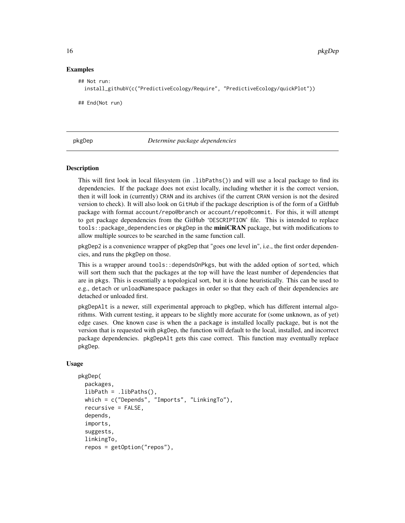#### Examples

```
## Not run:
 install_githubV(c("PredictiveEcology/Require", "PredictiveEcology/quickPlot"))
## End(Not run)
```
pkgDep *Determine package dependencies*

#### Description

This will first look in local filesystem (in .libPaths()) and will use a local package to find its dependencies. If the package does not exist locally, including whether it is the correct version, then it will look in (currently) CRAN and its archives (if the current CRAN version is not the desired version to check). It will also look on GitHub if the package description is of the form of a GitHub package with format account/repo@branch or account/repo@commit. For this, it will attempt to get package dependencies from the GitHub 'DESCRIPTION' file. This is intended to replace tools::package\_dependencies or pkgDep in the **miniCRAN** package, but with modifications to allow multiple sources to be searched in the same function call.

pkgDep2 is a convenience wrapper of pkgDep that "goes one level in", i.e., the first order dependencies, and runs the pkgDep on those.

This is a wrapper around tools::dependsOnPkgs, but with the added option of sorted, which will sort them such that the packages at the top will have the least number of dependencies that are in pkgs. This is essentially a topological sort, but it is done heuristically. This can be used to e.g., detach or unloadNamespace packages in order so that they each of their dependencies are detached or unloaded first.

pkgDepAlt is a newer, still experimental approach to pkgDep, which has different internal algorithms. With current testing, it appears to be slightly more accurate for (some unknown, as of yet) edge cases. One known case is when the a package is installed locally package, but is not the version that is requested with pkgDep, the function will default to the local, installed, and incorrect package dependencies. pkgDepAlt gets this case correct. This function may eventually replace pkgDep.

#### Usage

```
pkgDep(
  packages,
  libPath = .libPaths(),
  which = c("Depends", "Imports", "LinkingTo"),
  recursive = FALSE,
  depends,
  imports,
  suggests,
  linkingTo,
  repos = getOption("repos"),
```
<span id="page-15-0"></span>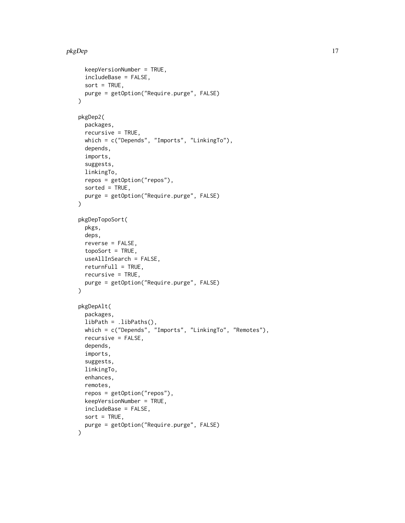## pkgDep 17

```
keepVersionNumber = TRUE,
  includeBase = FALSE,
  sort = TRUE,
 purge = getOption("Require.purge", FALSE)
\mathcal{L}pkgDep2(
  packages,
  recursive = TRUE,
 which = c("Depends", "Imports", "LinkingTo"),
  depends,
  imports,
  suggests,
  linkingTo,
  repos = getOption("repos"),
  sorted = TRUE,purge = getOption("Require.purge", FALSE)
\mathcal{L}pkgDepTopoSort(
  pkgs,
  deps,
  reverse = FALSE,
  topoSort = TRUE,useAllInSearch = FALSE,
  returnFull = TRUE,recursive = TRUE,
 purge = getOption("Require.purge", FALSE)
)
pkgDepAlt(
  packages,
  libPath = .libPaths(),
  which = c("Depends", "Imports", "LinkingTo", "Remotes"),
  recursive = FALSE,
  depends,
  imports,
  suggests,
  linkingTo,
  enhances,
  remotes,
  repos = getOption("repos"),
  keepVersionNumber = TRUE,
  includeBase = FALSE,
  sort = TRUE,purge = getOption("Require.purge", FALSE)
)
```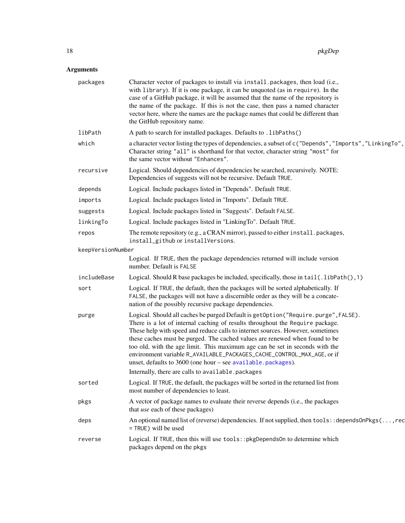## <span id="page-17-0"></span>Arguments

| packages          | Character vector of packages to install via install.packages, then load (i.e.,<br>with library). If it is one package, it can be unquoted (as in require). In the<br>case of a GitHub package, it will be assumed that the name of the repository is<br>the name of the package. If this is not the case, then pass a named character<br>vector here, where the names are the package names that could be different than<br>the GitHub repository name.                                                                                                                                                                |
|-------------------|------------------------------------------------------------------------------------------------------------------------------------------------------------------------------------------------------------------------------------------------------------------------------------------------------------------------------------------------------------------------------------------------------------------------------------------------------------------------------------------------------------------------------------------------------------------------------------------------------------------------|
| libPath           | A path to search for installed packages. Defaults to . libPaths()                                                                                                                                                                                                                                                                                                                                                                                                                                                                                                                                                      |
| which             | a character vector listing the types of dependencies, a subset of c("Depends", "Imports", "LinkingTo",<br>Character string "all" is shorthand for that vector, character string "most" for<br>the same vector without "Enhances".                                                                                                                                                                                                                                                                                                                                                                                      |
| recursive         | Logical. Should dependencies of dependencies be searched, recursively. NOTE:<br>Dependencies of suggests will not be recursive. Default TRUE.                                                                                                                                                                                                                                                                                                                                                                                                                                                                          |
| depends           | Logical. Include packages listed in "Depends". Default TRUE.                                                                                                                                                                                                                                                                                                                                                                                                                                                                                                                                                           |
| imports           | Logical. Include packages listed in "Imports". Default TRUE.                                                                                                                                                                                                                                                                                                                                                                                                                                                                                                                                                           |
| suggests          | Logical. Include packages listed in "Suggests". Default FALSE.                                                                                                                                                                                                                                                                                                                                                                                                                                                                                                                                                         |
| linkingTo         | Logical. Include packages listed in "LinkingTo". Default TRUE.                                                                                                                                                                                                                                                                                                                                                                                                                                                                                                                                                         |
| repos             | The remote repository (e.g., a CRAN mirror), passed to either install.packages,<br>install_github or installVersions.                                                                                                                                                                                                                                                                                                                                                                                                                                                                                                  |
| keepVersionNumber |                                                                                                                                                                                                                                                                                                                                                                                                                                                                                                                                                                                                                        |
|                   | Logical. If TRUE, then the package dependencies returned will include version<br>number. Default is FALSE                                                                                                                                                                                                                                                                                                                                                                                                                                                                                                              |
| includeBase       | Logical. Should R base packages be included, specifically, those in $tail(.libPath(),1)$                                                                                                                                                                                                                                                                                                                                                                                                                                                                                                                               |
| sort              | Logical. If TRUE, the default, then the packages will be sorted alphabetically. If<br>FALSE, the packages will not have a discernible order as they will be a concate-<br>nation of the possibly recursive package dependencies.                                                                                                                                                                                                                                                                                                                                                                                       |
| purge             | Logical. Should all caches be purged Default is getOption("Require.purge", FALSE).<br>There is a lot of internal caching of results throughout the Require package.<br>These help with speed and reduce calls to internet sources. However, sometimes<br>these caches must be purged. The cached values are renewed when found to be<br>too old, with the age limit. This maximum age can be set in seconds with the<br>environment variable R_AVAILABLE_PACKAGES_CACHE_CONTROL_MAX_AGE, or if<br>unset, defaults to $3600$ (one hour – see available. packages).<br>Internally, there are calls to available.packages |
| sorted            | Logical. If TRUE, the default, the packages will be sorted in the returned list from                                                                                                                                                                                                                                                                                                                                                                                                                                                                                                                                   |
|                   | most number of dependencies to least.                                                                                                                                                                                                                                                                                                                                                                                                                                                                                                                                                                                  |
| pkgs              | A vector of package names to evaluate their reverse depends (i.e., the packages<br>that use each of these packages)                                                                                                                                                                                                                                                                                                                                                                                                                                                                                                    |
| deps              | An optional named list of (reverse) dependencies. If not supplied, then tools: : depends0nPkgs(, rec<br>= TRUE) will be used                                                                                                                                                                                                                                                                                                                                                                                                                                                                                           |
| reverse           | Logical. If TRUE, then this will use tools:: pkgDependsOn to determine which<br>packages depend on the pkgs                                                                                                                                                                                                                                                                                                                                                                                                                                                                                                            |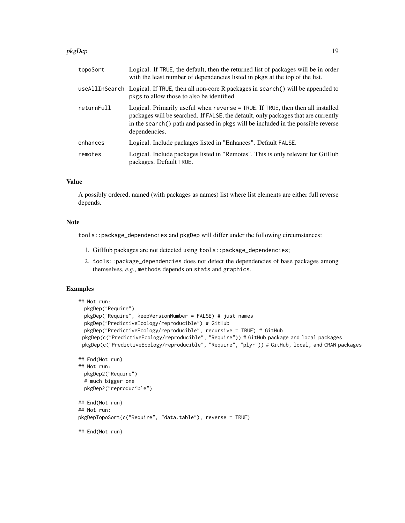#### pkgDep 19

| topoSort   | Logical. If TRUE, the default, then the returned list of packages will be in order<br>with the least number of dependencies listed in pkgs at the top of the list.                                                                                                         |
|------------|----------------------------------------------------------------------------------------------------------------------------------------------------------------------------------------------------------------------------------------------------------------------------|
|            | useAllInSearch Logical. If TRUE, then all non-core R packages in search() will be appended to<br>pkgs to allow those to also be identified                                                                                                                                 |
| returnFull | Logical. Primarily useful when reverse = TRUE. If TRUE, then then all installed<br>packages will be searched. If FALSE, the default, only packages that are currently<br>in the search() path and passed in pkgs will be included in the possible reverse<br>dependencies. |
| enhances   | Logical. Include packages listed in "Enhances". Default FALSE.                                                                                                                                                                                                             |
| remotes    | Logical. Include packages listed in "Remotes". This is only relevant for GitHub<br>packages. Default TRUE.                                                                                                                                                                 |

## Value

A possibly ordered, named (with packages as names) list where list elements are either full reverse depends.

## Note

tools::package\_dependencies and pkgDep will differ under the following circumstances:

- 1. GitHub packages are not detected using tools::package\_dependencies;
- 2. tools::package\_dependencies does not detect the dependencies of base packages among themselves, *e.g.*, methods depends on stats and graphics.

```
## Not run:
 pkgDep("Require")
 pkgDep("Require", keepVersionNumber = FALSE) # just names
 pkgDep("PredictiveEcology/reproducible") # GitHub
 pkgDep("PredictiveEcology/reproducible", recursive = TRUE) # GitHub
 pkgDep(c("PredictiveEcology/reproducible", "Require")) # GitHub package and local packages
 pkgDep(c("PredictiveEcology/reproducible", "Require", "plyr")) # GitHub, local, and CRAN packages
## End(Not run)
## Not run:
 pkgDep2("Require")
 # much bigger one
 pkgDep2("reproducible")
## End(Not run)
## Not run:
pkgDepTopoSort(c("Require", "data.table"), reverse = TRUE)
## End(Not run)
```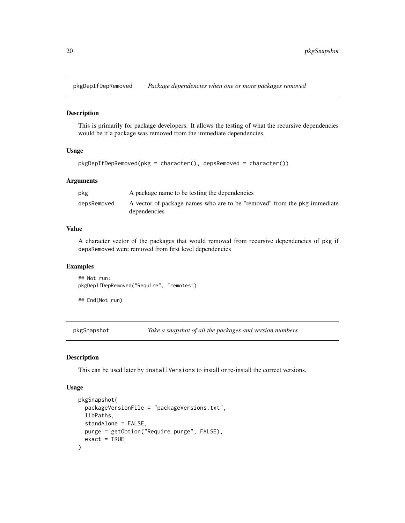<span id="page-19-0"></span>pkgDepIfDepRemoved *Package dependencies when one or more packages removed*

#### Description

This is primarily for package developers. It allows the testing of what the recursive dependencies would be if a package was removed from the immediate dependencies.

#### Usage

```
pkgDepIfDepRemoved(pkg = character(), depsRemoved = character())
```
#### Arguments

| pkg         | A package name to be testing the dependencies                                            |
|-------------|------------------------------------------------------------------------------------------|
| depsRemoved | A vector of package names who are to be "removed" from the pkg immediate<br>dependencies |

## Value

A character vector of the packages that would removed from recursive dependencies of pkg if depsRemoved were removed from first level dependencies

#### Examples

## Not run: pkgDepIfDepRemoved("Require", "remotes")

## End(Not run)

<span id="page-19-1"></span>pkgSnapshot *Take a snapshot of all the packages and version numbers*

#### Description

This can be used later by installVersions to install or re-install the correct versions.

#### Usage

```
pkgSnapshot(
  packageVersionFile = "packageVersions.txt",
  libPaths,
  standAlone = FALSE,
 purge = getOption("Require.purge", FALSE),
  exact = TRUE)
```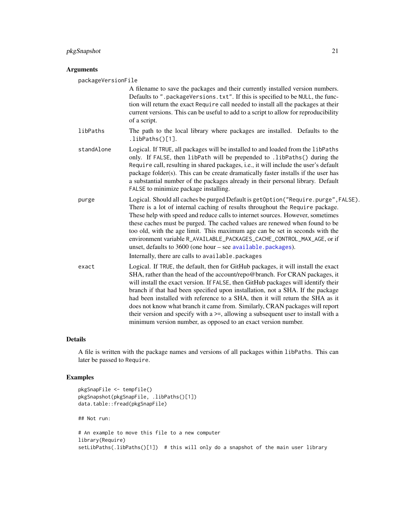#### <span id="page-20-0"></span>pkgSnapshot 21

#### Arguments

packageVersionFile

A filename to save the packages and their currently installed version numbers. Defaults to ".packageVersions.txt". If this is specified to be NULL, the function will return the exact Require call needed to install all the packages at their current versions. This can be useful to add to a script to allow for reproducibility of a script.

- libPaths The path to the local library where packages are installed. Defaults to the .libPaths()[1].
- standAlone Logical. If TRUE, all packages will be installed to and loaded from the libPaths only. If FALSE, then libPath will be prepended to .libPaths() during the Require call, resulting in shared packages, i.e., it will include the user's default package folder(s). This can be create dramatically faster installs if the user has a substantial number of the packages already in their personal library. Default FALSE to minimize package installing.
- purge Logical. Should all caches be purged Default is getOption("Require.purge",FALSE). There is a lot of internal caching of results throughout the Require package. These help with speed and reduce calls to internet sources. However, sometimes these caches must be purged. The cached values are renewed when found to be too old, with the age limit. This maximum age can be set in seconds with the environment variable R\_AVAILABLE\_PACKAGES\_CACHE\_CONTROL\_MAX\_AGE, or if unset, defaults to 3600 (one hour – see [available.packages](#page-0-0)). Internally, there are calls to available.packages
- exact Logical. If TRUE, the default, then for GitHub packages, it will install the exact SHA, rather than the head of the account/repo@branch. For CRAN packages, it will install the exact version. If FALSE, then GitHub packages will identify their branch if that had been specified upon installation, not a SHA. If the package had been installed with reference to a SHA, then it will return the SHA as it does not know what branch it came from. Similarly, CRAN packages will report their version and specify with a >=, allowing a subsequent user to install with a minimum version number, as opposed to an exact version number.

#### Details

A file is written with the package names and versions of all packages within libPaths. This can later be passed to Require.

```
pkgSnapFile <- tempfile()
pkgSnapshot(pkgSnapFile, .libPaths()[1])
data.table::fread(pkgSnapFile)
## Not run:
# An example to move this file to a new computer
library(Require)
setLibPaths(.libPaths()[1]) # this will only do a snapshot of the main user library
```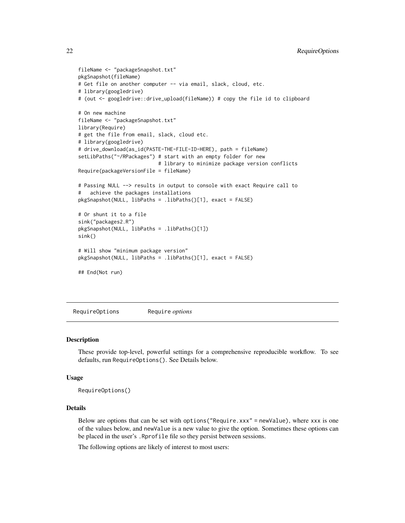```
fileName <- "packageSnapshot.txt"
pkgSnapshot(fileName)
# Get file on another computer -- via email, slack, cloud, etc.
# library(googledrive)
# (out <- googledrive::drive_upload(fileName)) # copy the file id to clipboard
# On new machine
fileName <- "packageSnapshot.txt"
library(Require)
# get the file from email, slack, cloud etc.
# library(googledrive)
# drive_download(as_id(PASTE-THE-FILE-ID-HERE), path = fileName)
setLibPaths("~/RPackages") # start with an empty folder for new
                           # library to minimize package version conflicts
Require(packageVersionFile = fileName)
# Passing NULL --> results in output to console with exact Require call to
# achieve the packages installations
pkgSnapshot(NULL, libPaths = .libPaths()[1], exact = FALSE)
# Or shunt it to a file
sink("packages2.R")
pkgSnapshot(NULL, libPaths = .libPaths()[1])
sink()
# Will show "minimum package version"
pkgSnapshot(NULL, libPaths = .libPaths()[1], exact = FALSE)
## End(Not run)
```
RequireOptions Require *options*

#### Description

These provide top-level, powerful settings for a comprehensive reproducible workflow. To see defaults, run RequireOptions(). See Details below.

#### Usage

RequireOptions()

#### Details

Below are options that can be set with options("Require.xxx" = newValue), where xxx is one of the values below, and newValue is a new value to give the option. Sometimes these options can be placed in the user's .Rprofile file so they persist between sessions.

The following options are likely of interest to most users:

<span id="page-21-0"></span>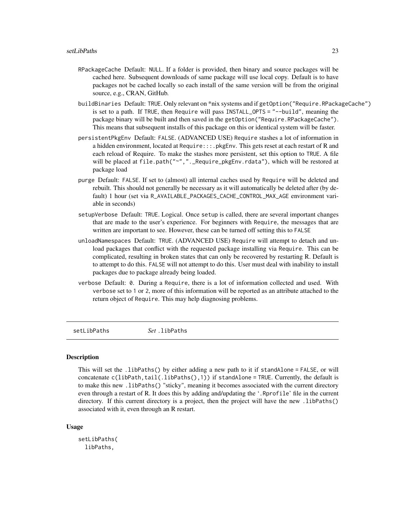- <span id="page-22-0"></span>RPackageCache Default: NULL. If a folder is provided, then binary and source packages will be cached here. Subsequent downloads of same package will use local copy. Default is to have packages not be cached locally so each install of the same version will be from the original source, e.g., CRAN, GitHub.
- buildBinaries Default: TRUE. Only relevant on \*nix systems and if getOption("Require.RPackageCache") is set to a path. If TRUE, then Require will pass INSTALL\_OPTS = "--build", meaning the package binary will be built and then saved in the getOption("Require.RPackageCache"). This means that subsequent installs of this package on this or identical system will be faster.
- persistentPkgEnv Default: FALSE. (ADVANCED USE) Require stashes a lot of information in a hidden environment, located at Require:::.pkgEnv. This gets reset at each restart of R and each reload of Require. To make the stashes more persistent, set this option to TRUE. A file will be placed at file.path("~",".\_Require\_pkgEnv.rdata"), which will be restored at package load
- purge Default: FALSE. If set to (almost) all internal caches used by Require will be deleted and rebuilt. This should not generally be necessary as it will automatically be deleted after (by default) 1 hour (set via R\_AVAILABLE\_PACKAGES\_CACHE\_CONTROL\_MAX\_AGE environment variable in seconds)
- setupVerbose Default: TRUE. Logical. Once setup is called, there are several important changes that are made to the user's experience. For beginners with Require, the messages that are written are important to see. However, these can be turned off setting this to FALSE
- unloadNamespaces Default: TRUE. (ADVANCED USE) Require will attempt to detach and unload packages that conflict with the requested package installing via Require. This can be complicated, resulting in broken states that can only be recovered by restarting R. Default is to attempt to do this. FALSE will not attempt to do this. User must deal with inability to install packages due to package already being loaded.
- verbose Default: 0. During a Require, there is a lot of information collected and used. With verbose set to 1 or 2, more of this information will be reported as an attribute attached to the return object of Require. This may help diagnosing problems.

setLibPaths *Set* .libPaths

#### Description

This will set the .libPaths() by either adding a new path to it if standAlone = FALSE, or will concatenate c(libPath,tail(.libPaths(),1)) if standAlone = TRUE. Currently, the default is to make this new .libPaths() "sticky", meaning it becomes associated with the current directory even through a restart of R. It does this by adding and/updating the '.Rprofile' file in the current directory. If this current directory is a project, then the project will have the new .libPaths() associated with it, even through an R restart.

#### Usage

setLibPaths( libPaths,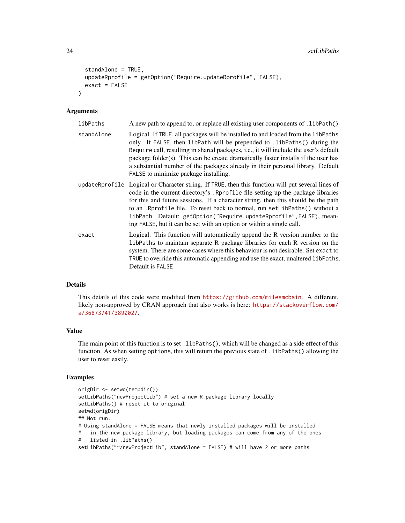```
standAlone = TRUE,
  updateRprofile = getOption("Require.updateRprofile", FALSE),
  exact = FALSE\lambda
```
#### Arguments

| libPaths   | A new path to append to, or replace all existing user components of . libPath()                                                                                                                                                                                                                                                                                                                                                                                                                             |
|------------|-------------------------------------------------------------------------------------------------------------------------------------------------------------------------------------------------------------------------------------------------------------------------------------------------------------------------------------------------------------------------------------------------------------------------------------------------------------------------------------------------------------|
| standAlone | Logical. If TRUE, all packages will be installed to and loaded from the libPaths<br>only. If FALSE, then libPath will be prepended to .libPaths() during the<br>Require call, resulting in shared packages, <i>i.e.</i> , it will include the user's default<br>package folder(s). This can be create dramatically faster installs if the user has<br>a substantial number of the packages already in their personal library. Default<br>FALSE to minimize package installing.                              |
|            | updateRprofile Logical or Character string. If TRUE, then this function will put several lines of<br>code in the current directory's . Rprofile file setting up the package libraries<br>for this and future sessions. If a character string, then this should be the path<br>to an . Reprofile file. To reset back to normal, run set LibPaths () without a<br>libPath. Default: getOption("Require.updateRprofile", FALSE), mean-<br>ing FALSE, but it can be set with an option or within a single call. |
| exact      | Logical. This function will automatically append the R version number to the<br>libPaths to maintain separate R package libraries for each R version on the<br>system. There are some cases where this behaviour is not desirable. Set exact to<br>TRUE to override this automatic appending and use the exact, unaltered libPaths.<br>Default is FALSE                                                                                                                                                     |

#### Details

This details of this code were modified from <https://github.com/milesmcbain>. A different, likely non-approved by CRAN approach that also works is here: [https://stackoverflow.com/](https://stackoverflow.com/a/36873741/3890027) [a/36873741/3890027](https://stackoverflow.com/a/36873741/3890027).

#### Value

The main point of this function is to set .libPaths(), which will be changed as a side effect of this function. As when setting options, this will return the previous state of .libPaths() allowing the user to reset easily.

```
origDir <- setwd(tempdir())
setLibPaths("newProjectLib") # set a new R package library locally
setLibPaths() # reset it to original
setwd(origDir)
## Not run:
# Using standAlone = FALSE means that newly installed packages will be installed
# in the new package library, but loading packages can come from any of the ones
# listed in .libPaths()
setLibPaths("~/newProjectLib", standAlone = FALSE) # will have 2 or more paths
```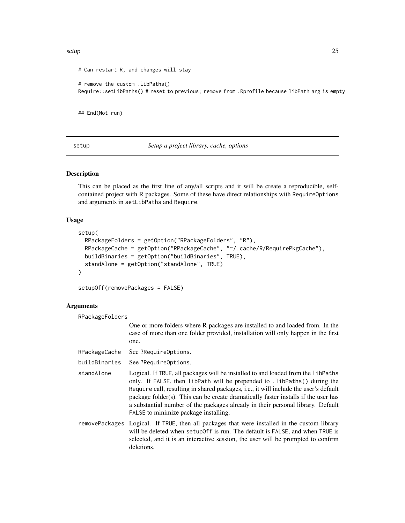#### <span id="page-24-0"></span>setup 25

```
# Can restart R, and changes will stay
# remove the custom .libPaths()
Require::setLibPaths() # reset to previous; remove from .Rprofile because libPath arg is empty
```
## End(Not run)

setup *Setup a project library, cache, options*

## Description

This can be placed as the first line of any/all scripts and it will be create a reproducible, selfcontained project with R packages. Some of these have direct relationships with RequireOptions and arguments in setLibPaths and Require.

#### Usage

```
setup(
 RPackageFolders = getOption("RPackageFolders", "R"),
 RPackageCache = getOption("RPackageCache", "~/.cache/R/RequirePkgCache"),
 buildBinaries = getOption("buildBinaries", TRUE),
 standAlone = getOption("standAlone", TRUE)
)
```
setupOff(removePackages = FALSE)

#### Arguments

| RPackageFolders |                                                                                                                                                                                                                                                                                                                                                                                                                                                                         |
|-----------------|-------------------------------------------------------------------------------------------------------------------------------------------------------------------------------------------------------------------------------------------------------------------------------------------------------------------------------------------------------------------------------------------------------------------------------------------------------------------------|
|                 | One or more folders where R packages are installed to and loaded from. In the<br>case of more than one folder provided, installation will only happen in the first<br>one.                                                                                                                                                                                                                                                                                              |
| RPackageCache   | See ?RequireOptions.                                                                                                                                                                                                                                                                                                                                                                                                                                                    |
| buildBinaries   | See ?RequireOptions.                                                                                                                                                                                                                                                                                                                                                                                                                                                    |
| standAlone      | Logical. If TRUE, all packages will be installed to and loaded from the libPaths<br>only. If FALSE, then libPath will be prepended to . libPaths() during the<br>Require call, resulting in shared packages, i.e., it will include the user's default<br>package folder(s). This can be create dramatically faster installs if the user has<br>a substantial number of the packages already in their personal library. Default<br>FALSE to minimize package installing. |
|                 | removePackages Logical. If TRUE, then all packages that were installed in the custom library<br>will be deleted when setup of f is run. The default is FALSE, and when TRUE is<br>selected, and it is an interactive session, the user will be prompted to confirm<br>deletions.                                                                                                                                                                                        |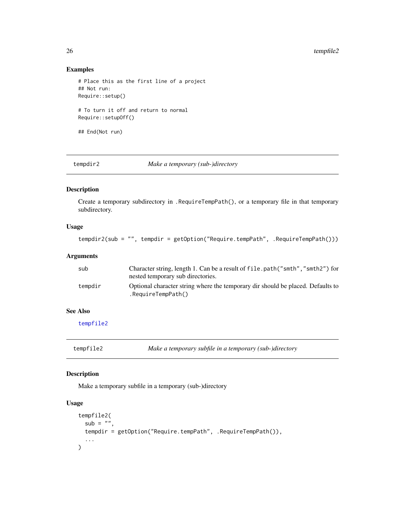## Examples

```
# Place this as the first line of a project
## Not run:
Require::setup()
# To turn it off and return to normal
Require::setupOff()
## End(Not run)
```
<span id="page-25-2"></span>

tempdir2 *Make a temporary (sub-)directory*

## Description

Create a temporary subdirectory in .RequireTempPath(), or a temporary file in that temporary subdirectory.

#### Usage

tempdir2(sub = "", tempdir = getOption("Require.tempPath", .RequireTempPath()))

## Arguments

| sub     | Character string, length 1. Can be a result of file.path("smth","smth2") for<br>nested temporary sub directories. |
|---------|-------------------------------------------------------------------------------------------------------------------|
| tempdir | Optional character string where the temporary dir should be placed. Defaults to<br>$.$ RequireTempPath()          |

## See Also

[tempfile2](#page-25-1)

<span id="page-25-1"></span>tempfile2 *Make a temporary subfile in a temporary (sub-)directory*

## Description

Make a temporary subfile in a temporary (sub-)directory

## Usage

```
tempfile2(
  sub = "".
  tempdir = getOption("Require.tempPath", .RequireTempPath()),
  ...
\mathcal{L}
```
<span id="page-25-0"></span>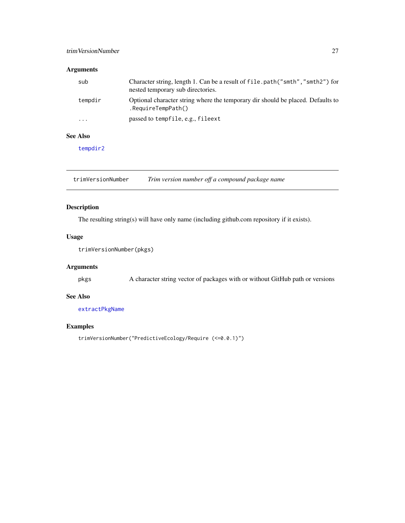## <span id="page-26-0"></span>trimVersionNumber 27

## Arguments

| sub                     | Character string, length 1. Can be a result of file.path("smth","smth2") for<br>nested temporary sub directories. |
|-------------------------|-------------------------------------------------------------------------------------------------------------------|
| tempdir                 | Optional character string where the temporary dir should be placed. Defaults to<br>$.$ RequireTempPath()          |
| $\cdot$ $\cdot$ $\cdot$ | passed to tempfile, e.g., fileext                                                                                 |

#### See Also

[tempdir2](#page-25-2)

<span id="page-26-1"></span>trimVersionNumber *Trim version number off a compound package name*

## Description

The resulting string(s) will have only name (including github.com repository if it exists).

## Usage

trimVersionNumber(pkgs)

## Arguments

pkgs A character string vector of packages with or without GitHub path or versions

## See Also

[extractPkgName](#page-9-1)

## Examples

trimVersionNumber("PredictiveEcology/Require (<=0.0.1)")